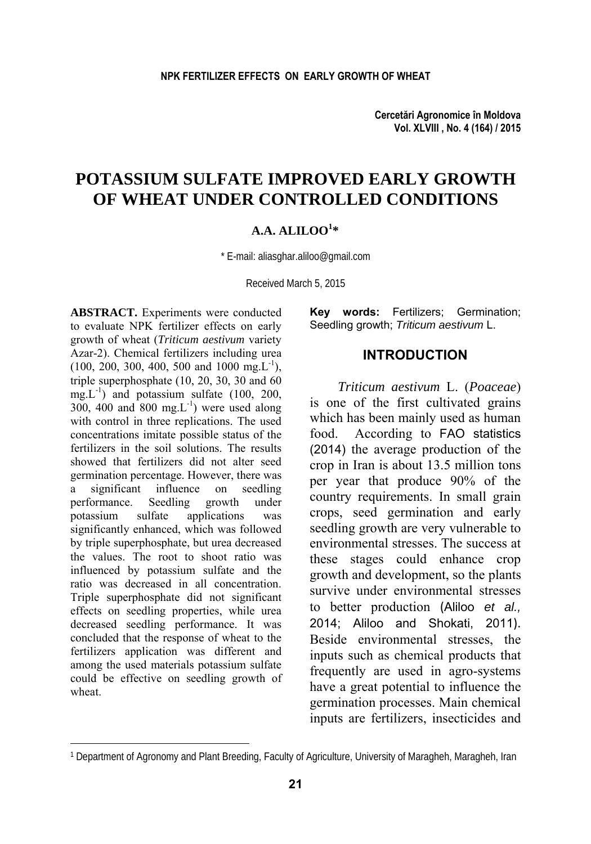**Cercetări Agronomice în Moldova Vol. XLVIII , No. 4 (164) / 2015** 

# **POTASSIUM SULFATE IMPROVED EARLY GROWTH OF WHEAT UNDER CONTROLLED CONDITIONS**

## **A.A. ALILOO1 \***

\* E-mail: aliasghar.aliloo@gmail.com

Received March 5, 2015

**ABSTRACT.** Experiments were conducted to evaluate NPK fertilizer effects on early growth of wheat (*Triticum aestivum* variety Azar-2). Chemical fertilizers including urea  $(100, 200, 300, 400, 500, 400, 1000, mg,L^{-1}),$ triple superphosphate (10, 20, 30, 30 and 60  $mg.L^{-1}$ ) and potassium sulfate (100, 200, 300, 400 and 800 mg. $L^{-1}$ ) were used along with control in three replications. The used concentrations imitate possible status of the fertilizers in the soil solutions. The results showed that fertilizers did not alter seed germination percentage. However, there was a significant influence on seedling performance. Seedling growth under potassium sulfate applications was significantly enhanced, which was followed by triple superphosphate, but urea decreased the values. The root to shoot ratio was influenced by potassium sulfate and the ratio was decreased in all concentration. Triple superphosphate did not significant effects on seedling properties, while urea decreased seedling performance. It was concluded that the response of wheat to the fertilizers application was different and among the used materials potassium sulfate could be effective on seedling growth of wheat.

l

**Key words:** Fertilizers; Germination; Seedling growth; *Triticum aestivum* L.

### **INTRODUCTION**

*Triticum aestivum* L. (*Poaceae*) is one of the first cultivated grains which has been mainly used as human food. According to FAO statistics (2014) the average production of the crop in Iran is about 13.5 million tons per year that produce 90% of the country requirements. In small grain crops, seed germination and early seedling growth are very vulnerable to environmental stresses. The success at these stages could enhance crop growth and development, so the plants survive under environmental stresses to better production (Aliloo *et al.,* 2014; Aliloo and Shokati, 2011). Beside environmental stresses, the inputs such as chemical products that frequently are used in agro-systems have a great potential to influence the germination processes. Main chemical inputs are fertilizers, insecticides and

<sup>1</sup> Department of Agronomy and Plant Breeding, Faculty of Agriculture, University of Maragheh, Maragheh, Iran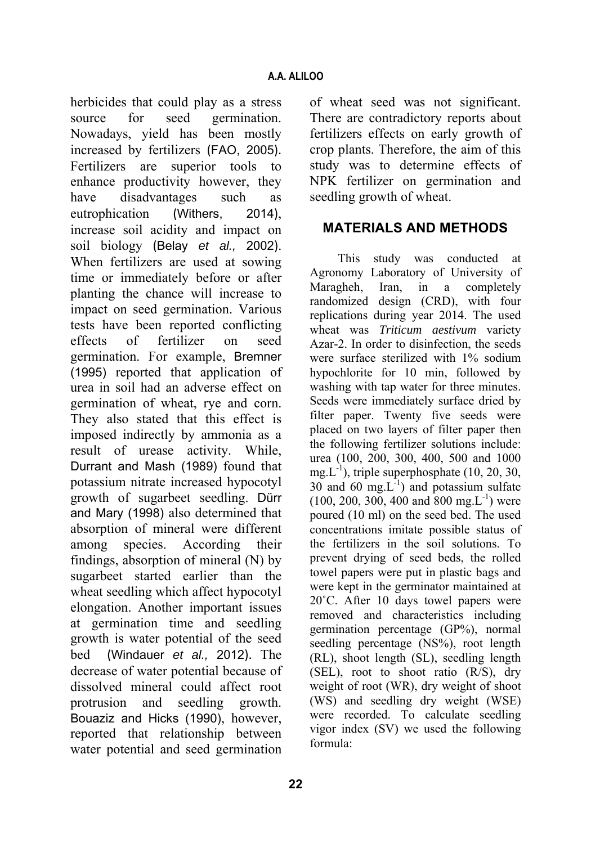herbicides that could play as a stress source for seed germination. Nowadays, yield has been mostly increased by fertilizers (FAO, 2005). Fertilizers are superior tools to enhance productivity however, they have disadvantages such as eutrophication (Withers, 2014), increase soil acidity and impact on soil biology (Belay *et al.,* 2002). When fertilizers are used at sowing time or immediately before or after planting the chance will increase to impact on seed germination. Various tests have been reported conflicting effects of fertilizer on seed germination. For example, Bremner (1995) reported that application of urea in soil had an adverse effect on germination of wheat, rye and corn. They also stated that this effect is imposed indirectly by ammonia as a result of urease activity. While, Durrant and Mash (1989) found that potassium nitrate increased hypocotyl growth of sugarbeet seedling. Dürr and Mary (1998) also determined that absorption of mineral were different among species. According their findings, absorption of mineral (N) by sugarbeet started earlier than the wheat seedling which affect hypocotyl elongation. Another important issues at germination time and seedling growth is water potential of the seed bed (Windauer *et al.,* 2012). The decrease of water potential because of dissolved mineral could affect root protrusion and seedling growth. Bouaziz and Hicks (1990), however, reported that relationship between water potential and seed germination of wheat seed was not significant. There are contradictory reports about fertilizers effects on early growth of crop plants. Therefore, the aim of this study was to determine effects of NPK fertilizer on germination and seedling growth of wheat.

## **MATERIALS AND METHODS**

This study was conducted at Agronomy Laboratory of University of Maragheh, Iran, in a completely randomized design (CRD), with four replications during year 2014. The used wheat was *Triticum aestivum* variety Azar-2. In order to disinfection, the seeds were surface sterilized with 1% sodium hypochlorite for 10 min, followed by washing with tap water for three minutes. Seeds were immediately surface dried by filter paper. Twenty five seeds were placed on two layers of filter paper then the following fertilizer solutions include: urea (100, 200, 300, 400, 500 and 1000 mg. $L^{-1}$ ), triple superphosphate (10, 20, 30, 30 and 60 mg. $L^{-1}$ ) and potassium sulfate  $(100, 200, 300, 400, 400, 800, mg.L^{-1})$  were poured (10 ml) on the seed bed. The used concentrations imitate possible status of the fertilizers in the soil solutions. To prevent drying of seed beds, the rolled towel papers were put in plastic bags and were kept in the germinator maintained at 20˚C. After 10 days towel papers were removed and characteristics including germination percentage (GP%), normal seedling percentage (NS%), root length (RL), shoot length (SL), seedling length (SEL), root to shoot ratio (R/S), dry weight of root (WR), dry weight of shoot (WS) and seedling dry weight (WSE) were recorded. To calculate seedling vigor index (SV) we used the following formula: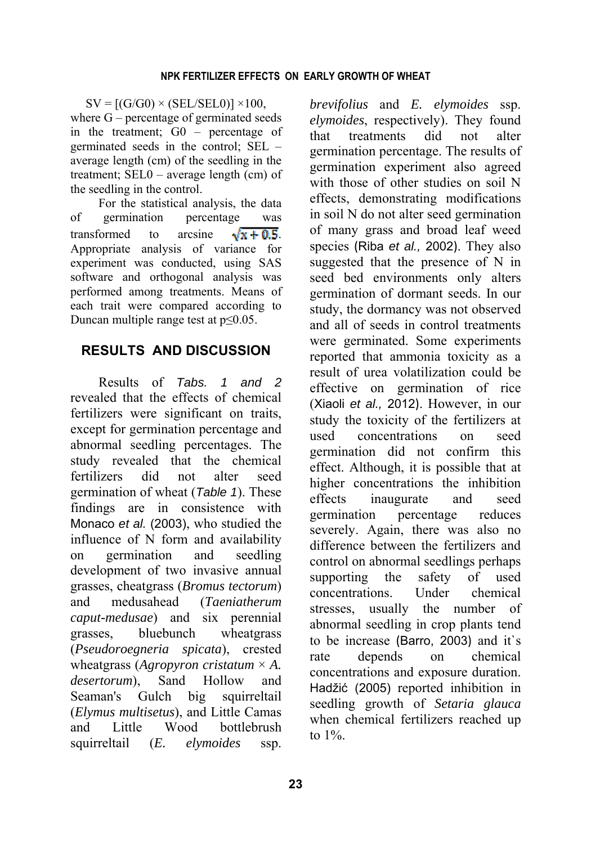$SV = [(G/G0) \times (SEL/SEL0)] \times 100,$ where G – percentage of germinated seeds in the treatment; G0 – percentage of germinated seeds in the control; SEL – average length (cm) of the seedling in the treatment; SEL0 – average length (cm) of the seedling in the control.

For the statistical analysis, the data of germination percentage was transformed to arcsine  $\sqrt{x + 0.5}$ Appropriate analysis of variance for experiment was conducted, using SAS software and orthogonal analysis was performed among treatments. Means of each trait were compared according to Duncan multiple range test at p≤0.05.

## **RESULTS AND DISCUSSION**

Results of *Tabs. 1 and 2* revealed that the effects of chemical fertilizers were significant on traits, except for germination percentage and abnormal seedling percentages. The study revealed that the chemical fertilizers did not alter seed germination of wheat (*Table 1*). These findings are in consistence with Monaco *et al.* (2003), who studied the influence of N form and availability on germination and seedling development of two invasive annual grasses, cheatgrass (*Bromus tectorum*) and medusahead (*Taeniatherum caput-medusae*) and six perennial grasses, bluebunch wheatgrass (*Pseudoroegneria spicata*), crested wheatgrass (*Agropyron cristatum* × *A. desertorum*), Sand Hollow and Seaman's Gulch big squirreltail (*Elymus multisetus*), and Little Camas and Little Wood bottlebrush squirreltail (*E. elymoides* ssp.

*brevifolius* and *E. elymoides* ssp. *elymoides*, respectively). They found that treatments did not alter germination percentage. The results of germination experiment also agreed with those of other studies on soil N effects, demonstrating modifications in soil N do not alter seed germination of many grass and broad leaf weed species (Riba *et al.,* 2002). They also suggested that the presence of N in seed bed environments only alters germination of dormant seeds. In our study, the dormancy was not observed and all of seeds in control treatments were germinated. Some experiments reported that ammonia toxicity as a result of urea volatilization could be effective on germination of rice (Xiaoli *et al.,* 2012). However, in our study the toxicity of the fertilizers at used concentrations on seed germination did not confirm this effect. Although, it is possible that at higher concentrations the inhibition effects inaugurate and seed germination percentage reduces severely. Again, there was also no difference between the fertilizers and control on abnormal seedlings perhaps supporting the safety of used concentrations. Under chemical stresses, usually the number of abnormal seedling in crop plants tend to be increase (Barro, 2003) and it`s rate depends on chemical concentrations and exposure duration. Hadžić (2005) reported inhibition in seedling growth of *Setaria glauca* when chemical fertilizers reached up to 1%.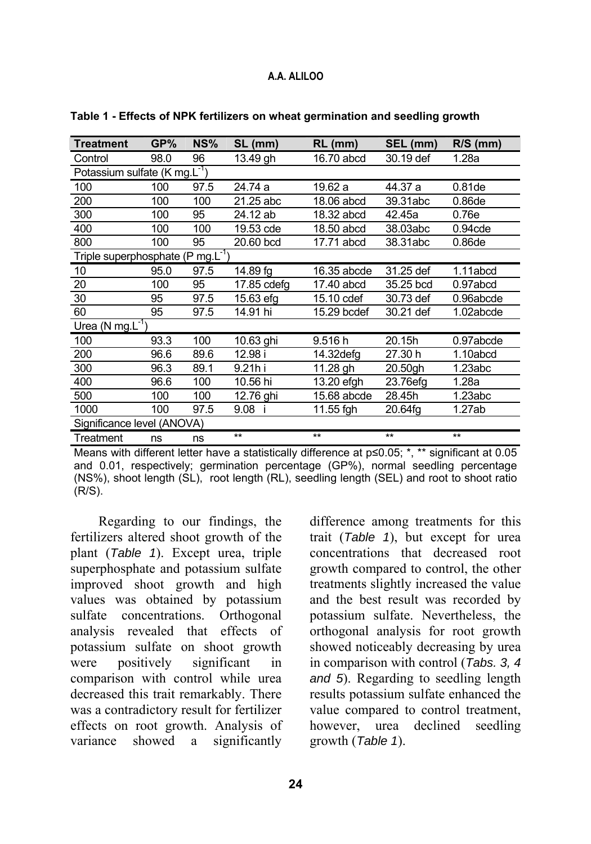## **A.A. ALILOO**

| <b>Treatment</b>                              | GP%  | NS%  | SL (mm)      | $RL$ (mm)   | SEL (mm)     | $R/S$ (mm) |  |  |  |
|-----------------------------------------------|------|------|--------------|-------------|--------------|------------|--|--|--|
| Control                                       | 98.0 | 96   | 13.49 gh     | 16.70 abcd  | 30.19 def    | 1.28a      |  |  |  |
| Potassium sulfate (K mg.L <sup>-1</sup> )     |      |      |              |             |              |            |  |  |  |
| 100                                           | 100  | 97.5 | 24.74 a      | 19.62 a     | 44.37 a      | 0.81de     |  |  |  |
| 200                                           | 100  | 100  | 21.25 abc    | 18.06 abcd  | 39.31abc     | 0.86de     |  |  |  |
| 300                                           | 100  | 95   | 24.12 ab     | 18.32 abcd  | 42.45a       | 0.76e      |  |  |  |
| 400                                           | 100  | 100  | 19.53 cde    | 18.50 abcd  | 38.03abc     | 0.94cde    |  |  |  |
| 800                                           | 100  | 95   | 20.60 bcd    | 17.71 abcd  | 38.31abc     | 0.86de     |  |  |  |
| Triple superphosphate (P mg.L <sup>-1</sup> ) |      |      |              |             |              |            |  |  |  |
| 10                                            | 95.0 | 97.5 | 14.89 fg     | 16.35 abcde | 31.25 def    | 1.11abcd   |  |  |  |
| 20                                            | 100  | 95   | 17.85 cdefg  | 17.40 abcd  | 35.25 bcd    | 0.97abcd   |  |  |  |
| 30                                            | 95   | 97.5 | 15.63 efg    | 15.10 cdef  | 30.73 def    | 0.96abcde  |  |  |  |
| 60                                            | 95   | 97.5 | 14.91 hi     | 15.29 bcdef | 30.21 def    | 1.02abcde  |  |  |  |
| Urea (N mg. $L^{-1}$ )                        |      |      |              |             |              |            |  |  |  |
| 100                                           | 93.3 | 100  | 10.63 ghi    | 9.516 h     | 20.15h       | 0.97abcde  |  |  |  |
| 200                                           | 96.6 | 89.6 | 12.98 i      | 14.32defg   | 27.30 h      | 1.10abcd   |  |  |  |
| 300                                           | 96.3 | 89.1 | 9.21h i      | 11.28 gh    | 20.50gh      | 1.23abc    |  |  |  |
| 400                                           | 96.6 | 100  | 10.56 hi     | 13.20 efgh  | 23.76efg     | 1.28a      |  |  |  |
| 500                                           | 100  | 100  | 12.76 ghi    | 15.68 abcde | 28.45h       | 1.23abc    |  |  |  |
| 1000                                          | 100  | 97.5 | 9.08 i       | 11.55 fgh   | 20.64fg      | 1.27ab     |  |  |  |
| Significance level (ANOVA)                    |      |      |              |             |              |            |  |  |  |
| Treatment                                     | ns   | ns   | $\star\star$ | $**$        | $\star\star$ | $**$       |  |  |  |

#### **Table 1 - Effects of NPK fertilizers on wheat germination and seedling growth**

Means with different letter have a statistically difference at p≤0.05; \*, \*\* significant at 0.05 and 0.01, respectively; germination percentage (GP%), normal seedling percentage (NS%), shoot length (SL), root length (RL), seedling length (SEL) and root to shoot ratio (R/S).

Regarding to our findings, the fertilizers altered shoot growth of the plant (*Table 1*). Except urea, triple superphosphate and potassium sulfate improved shoot growth and high values was obtained by potassium sulfate concentrations. Orthogonal analysis revealed that effects of potassium sulfate on shoot growth were positively significant in comparison with control while urea decreased this trait remarkably. There was a contradictory result for fertilizer effects on root growth. Analysis of variance showed a significantly

difference among treatments for this trait (*Table 1*), but except for urea concentrations that decreased root growth compared to control, the other treatments slightly increased the value and the best result was recorded by potassium sulfate. Nevertheless, the orthogonal analysis for root growth showed noticeably decreasing by urea in comparison with control (*Tabs. 3, 4 and 5*). Regarding to seedling length results potassium sulfate enhanced the value compared to control treatment, however, urea declined seedling growth (*Table 1*).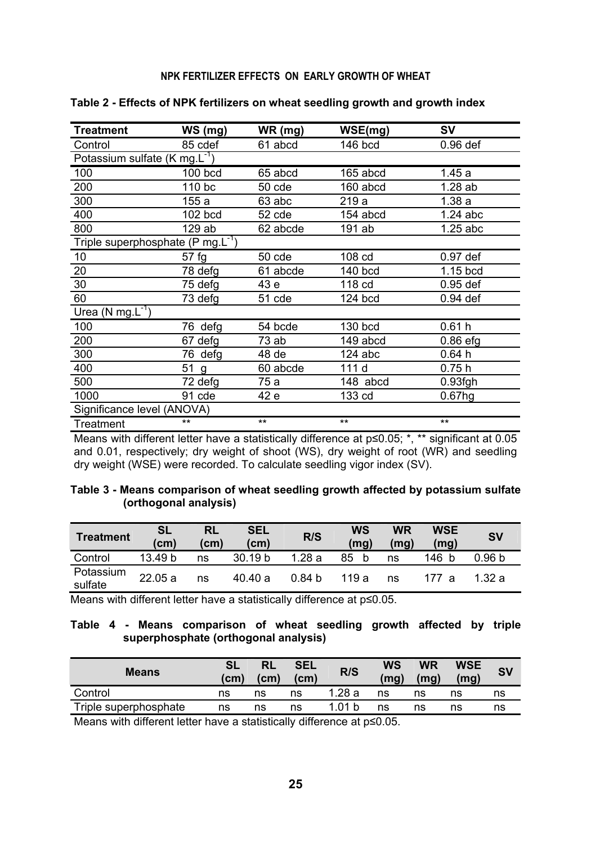#### **NPK FERTILIZER EFFECTS ON EARLY GROWTH OF WHEAT**

| Treatment                                     | WS (mg) | WR (mg)  | WSE(mg)   | SV                 |
|-----------------------------------------------|---------|----------|-----------|--------------------|
| Control                                       | 85 cdef | 61 abcd  | $146$ bcd | $0.96$ def         |
| Potassium sulfate (K mg. $L^{-1}$ )           |         |          |           |                    |
| 100                                           | 100 bcd | 65 abcd  | 165 abcd  | 1.45a              |
| 200                                           | 110 bc  | 50 cde   | 160 abcd  | 1.28ab             |
| 300                                           | 155 a   | 63 abc   | 219 a     | 1.38a              |
| 400                                           | 102 bcd | 52 cde   | 154 abcd  | $1.24$ abc         |
| 800                                           | 129 ab  | 62 abcde | 191 ab    | $1.25$ abc         |
| Triple superphosphate (P mg.L <sup>-1</sup> ) |         |          |           |                    |
| 10                                            | 57 fg   | 50 cde   | 108 cd    | 0.97 def           |
| 20                                            | 78 defa | 61 abcde | 140 bcd   | $1.15$ bcd         |
| 30                                            | 75 defa | 43 e     | 118 cd    | $0.95$ def         |
| 60                                            | 73 defg | 51 cde   | $124$ bcd | 0.94 def           |
| Urea (N mg. $L^{-1}$ )                        |         |          |           |                    |
| 100                                           | 76 defa | 54 bcde  | 130 bcd   | 0.61h              |
| 200                                           | 67 defa | 73 ab    | 149 abcd  | $0.86$ efg         |
| 300                                           | 76 defg | 48 de    | $124$ abc | 0.64h              |
| 400                                           | 51<br>g | 60 abcde | 111 d     | 0.75h              |
| 500                                           | 72 defg | 75 a     | 148 abcd  | 0.93fgh            |
| 1000                                          | 91 cde  | 42 e     | 133 cd    | 0.67 <sub>ng</sub> |
| Significance level (ANOVA)                    |         |          |           |                    |
| Treatment                                     | **      | $***$    | $**$      | $***$              |

**Table 2 - Effects of NPK fertilizers on wheat seedling growth and growth index**

Means with different letter have a statistically difference at p≤0.05; \*, \*\* significant at 0.05 and 0.01, respectively; dry weight of shoot (WS), dry weight of root (WR) and seedling dry weight (WSE) were recorded. To calculate seedling vigor index (SV).

| Table 3 - Means comparison of wheat seedling growth affected by potassium sulfate |  |  |
|-----------------------------------------------------------------------------------|--|--|
| (orthogonal analysis)                                                             |  |  |

| <b>Treatment</b>     | <b>SL</b><br>(cm) | RL<br>(cm) | <b>SEL</b><br>(cm) | R/S               | WS<br>(mg) | <b>WR</b><br>(mg) | <b>WSE</b><br>(mg) | <b>SV</b> |
|----------------------|-------------------|------------|--------------------|-------------------|------------|-------------------|--------------------|-----------|
| Control              | 13.49 b           | ns         | 30.19 <sub>b</sub> | 1.28 a            | 85         | ns                | 146<br>-b          | 0.96 b    |
| Potassium<br>sulfate | 22.05a            | ns         | 40.40 a            | 0.84 <sub>b</sub> | 119 a      | ns                | 177 a              | 1.32a     |

Means with different letter have a statistically difference at p≤0.05.

## **Table 4 - Means comparison of wheat seedling growth affected by triple superphosphate (orthogonal analysis)**

| <b>Means</b>          | (cm) | RL<br>$\mathsf{(cm)}$ | <b>SEL</b><br>(cm) | R/S    | WS<br>(ma) | WR<br>(ma) | <b>WSE</b><br>(mg) |    |
|-----------------------|------|-----------------------|--------------------|--------|------------|------------|--------------------|----|
| Control               | ns   | ns                    | ns                 | 1.28 a | ns         | ns         | ns                 | ns |
| Triple superphosphate | ns   | ns                    | ns                 | 1.01 b | ns         | ns         | ns                 | ns |
|                       |      |                       |                    |        |            |            |                    |    |

Means with different letter have a statistically difference at p≤0.05.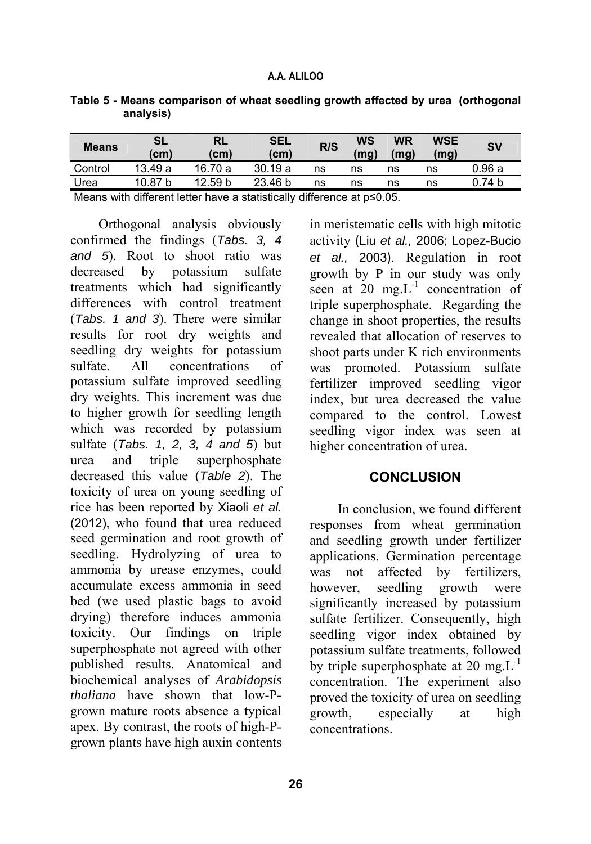| <b>Means</b> | <b>SL</b><br>(cm) | RL<br>(cm) | <b>SEL</b><br>(cm) | R/S | WS<br>mq) | <b>WR</b><br>(mg) | WSE<br>(mg) | S٧                |
|--------------|-------------------|------------|--------------------|-----|-----------|-------------------|-------------|-------------------|
| Control      | 13.49a            | 16.70 a    | 30.19 a            | ns  | ns        | ns                | ns          | 0.96a             |
| Urea         | 10.87 b           | 12.59 b    | 23.46 b            | ns  | ns        | ns                | ns          | 0.74 <sub>b</sub> |

**Table 5 - Means comparison of wheat seedling growth affected by urea (orthogonal analysis)** 

Means with different letter have a statistically difference at p≤0.05.

Orthogonal analysis obviously confirmed the findings (*Tabs. 3, 4 and 5*). Root to shoot ratio was decreased by potassium sulfate treatments which had significantly differences with control treatment (*Tabs. 1 and 3*). There were similar results for root dry weights and seedling dry weights for potassium sulfate. All concentrations of potassium sulfate improved seedling dry weights. This increment was due to higher growth for seedling length which was recorded by potassium sulfate (*Tabs. 1, 2, 3, 4 and 5*) but urea and triple superphosphate decreased this value (*Table 2*). The toxicity of urea on young seedling of rice has been reported by Xiaoli *et al.* (2012), who found that urea reduced seed germination and root growth of seedling. Hydrolyzing of urea to ammonia by urease enzymes, could accumulate excess ammonia in seed bed (we used plastic bags to avoid drying) therefore induces ammonia toxicity. Our findings on triple superphosphate not agreed with other published results. Anatomical and biochemical analyses of *Arabidopsis thaliana* have shown that low-Pgrown mature roots absence a typical apex. By contrast, the roots of high-Pgrown plants have high auxin contents

in meristematic cells with high mitotic activity (Liu *et al.,* 2006; Lopez-Bucio *et al.,* 2003). Regulation in root growth by P in our study was only seen at  $20$  mg.  $L^{-1}$  concentration of triple superphosphate. Regarding the change in shoot properties, the results revealed that allocation of reserves to shoot parts under K rich environments was promoted. Potassium sulfate fertilizer improved seedling vigor index, but urea decreased the value compared to the control. Lowest seedling vigor index was seen at higher concentration of urea.

## **CONCLUSION**

In conclusion, we found different responses from wheat germination and seedling growth under fertilizer applications. Germination percentage was not affected by fertilizers, however, seedling growth were significantly increased by potassium sulfate fertilizer. Consequently, high seedling vigor index obtained by potassium sulfate treatments, followed by triple superphosphate at 20 mg. $L^{-1}$ concentration. The experiment also proved the toxicity of urea on seedling growth, especially at high concentrations.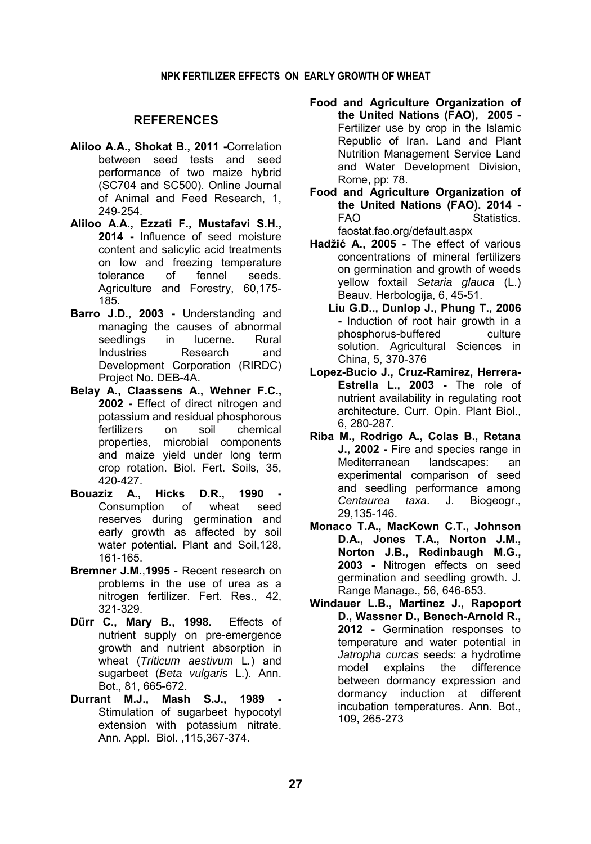#### **NPK FERTILIZER EFFECTS ON EARLY GROWTH OF WHEAT**

### **REFERENCES**

- **Aliloo A.A., Shokat B., 2011 -**Correlation between seed tests and seed performance of two maize hybrid (SC704 and SC500). Online Journal of Animal and Feed Research, 1, 249-254.
- **Aliloo A.A., Ezzati F., Mustafavi S.H., 2014 -** Influence of seed moisture content and salicylic acid treatments on low and freezing temperature tolerance of fennel seeds. Agriculture and Forestry, 60,175- 185.
- **Barro J.D., 2003** Understanding and managing the causes of abnormal seedlings in lucerne. Rural Industries Research and Development Corporation (RIRDC) Project No. DEB-4A.
- **Belay A., Claassens A., Wehner F.C., 2002 -** Effect of direct nitrogen and potassium and residual phosphorous fertilizers on soil chemical properties, microbial components and maize yield under long term crop rotation. Biol. Fert. Soils, 35, 420-427.
- **Bouaziz A., Hicks D.R., 1990**  Consumption of wheat seed reserves during germination and early growth as affected by soil water potential. Plant and Soil,128, 161-165.
- **Bremner J.M.**,**1995** Recent research on problems in the use of urea as a nitrogen fertilizer. Fert. Res., 42, 321-329.
- **Dürr C., Mary B., 1998.** Effects of nutrient supply on pre-emergence growth and nutrient absorption in wheat (*Triticum aestivum* L*.*) and sugarbeet (*Beta vulgaris* L.). Ann. Bot., 81, 665-672.
- **Durrant M.J., Mash S.J., 1989** Stimulation of sugarbeet hypocotyl extension with potassium nitrate. Ann. Appl. Biol. ,115,367-374.
- **Food and Agriculture Organization of the United Nations (FAO), 2005 -**  Fertilizer use by crop in the Islamic Republic of Iran. Land and Plant Nutrition Management Service Land and Water Development Division, Rome, pp: 78.
- **Food and Agriculture Organization of the United Nations (FAO). 2014 -** FAO Statistics. faostat.fao.org/default.aspx
- **Hadžić A., 2005 -** The effect of various concentrations of mineral fertilizers on germination and growth of weeds yellow foxtail *Setaria glauca* (L.) Beauv. Herbologija, 6, 45-51.
	- **Liu G.D.., Dunlop J., Phung T., 2006 -** Induction of root hair growth in a phosphorus-buffered culture solution. Agricultural Sciences in China, 5, 370-376
- **Lopez-Bucio J., Cruz-Ramirez, Herrera-Estrella L., 2003 -** The role of nutrient availability in regulating root architecture. Curr. Opin. Plant Biol., 6, 280-287.
- **Riba M., Rodrigo A., Colas B., Retana J., 2002 -** Fire and species range in Mediterranean landscapes: an experimental comparison of seed and seedling performance among *Centaurea taxa*. J. Biogeogr., 29,135-146.
- **Monaco T.A., MacKown C.T., Johnson D.A., Jones T.A., Norton J.M., Norton J.B., Redinbaugh M.G., 2003 -** Nitrogen effects on seed germination and seedling growth. J. Range Manage., 56, 646-653.
- **Windauer L.B., Martinez J., Rapoport D., Wassner D., Benech-Arnold R., 2012 -** Germination responses to temperature and water potential in *Jatropha curcas* seeds: a hydrotime model explains the difference between dormancy expression and dormancy induction at different incubation temperatures. Ann. Bot., 109, 265-273